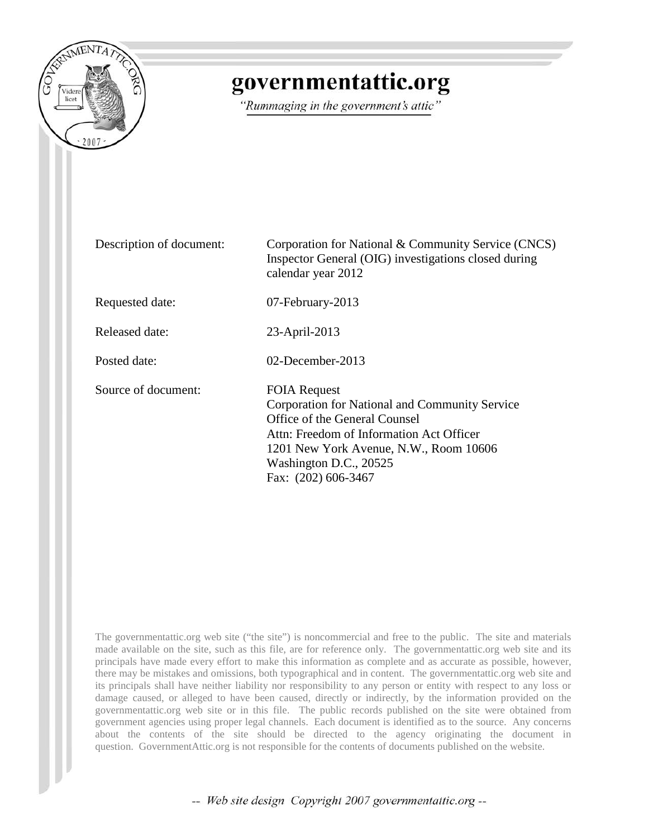

# governmentattic.org

"Rummaging in the government's attic"

Description of document: Corporation for National & Community Service (CNCS) Inspector General (OIG) investigations closed during calendar year 2012 Requested date: 07-February-2013 Released date: 23-April-2013 Posted date: 02-December-2013 Source of document: FOIA Request Corporation for National and Community Service Office of the General Counsel Attn: Freedom of Information Act Officer 1201 New York Avenue, N.W., Room 10606 Washington D.C., 20525 Fax: (202) 606-3467

The governmentattic.org web site ("the site") is noncommercial and free to the public. The site and materials made available on the site, such as this file, are for reference only. The governmentattic.org web site and its principals have made every effort to make this information as complete and as accurate as possible, however, there may be mistakes and omissions, both typographical and in content. The governmentattic.org web site and its principals shall have neither liability nor responsibility to any person or entity with respect to any loss or damage caused, or alleged to have been caused, directly or indirectly, by the information provided on the governmentattic.org web site or in this file. The public records published on the site were obtained from government agencies using proper legal channels. Each document is identified as to the source. Any concerns about the contents of the site should be directed to the agency originating the document in question. GovernmentAttic.org is not responsible for the contents of documents published on the website.

-- Web site design Copyright 2007 governmentattic.org --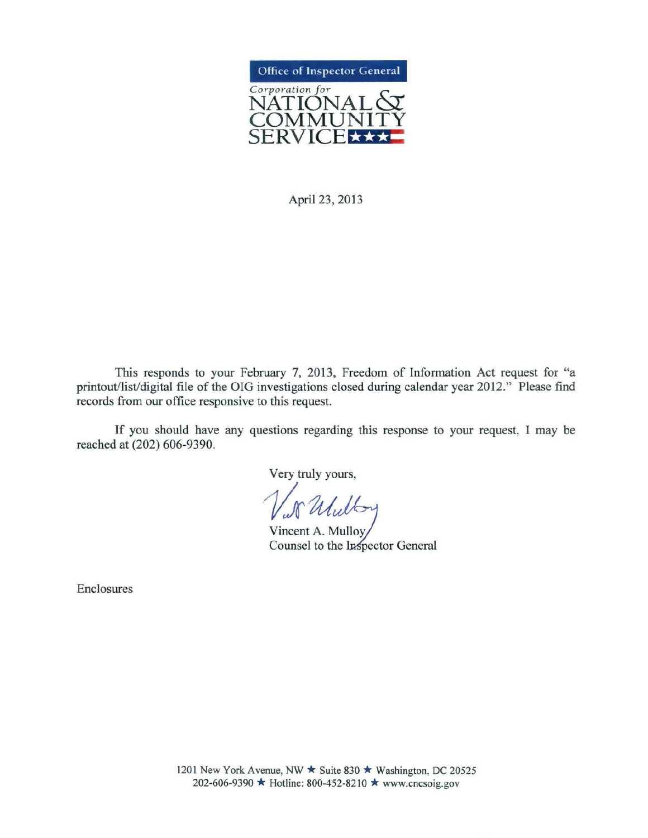

April 23, 2013

This responds to your February 7, 2013, Freedom of Information Act request for "a printout/list/digital file of the OIG investigations closed during calendar year 2012." Please find records from our office responsive to this request.

If you should have any questions regarding this response to your request, I may be reached at (202) 606-9390.

Very truly yours,

15 Willby

 $V = 60$ <br>Vincent A. M. Counsel to the Inspector General

Enclosures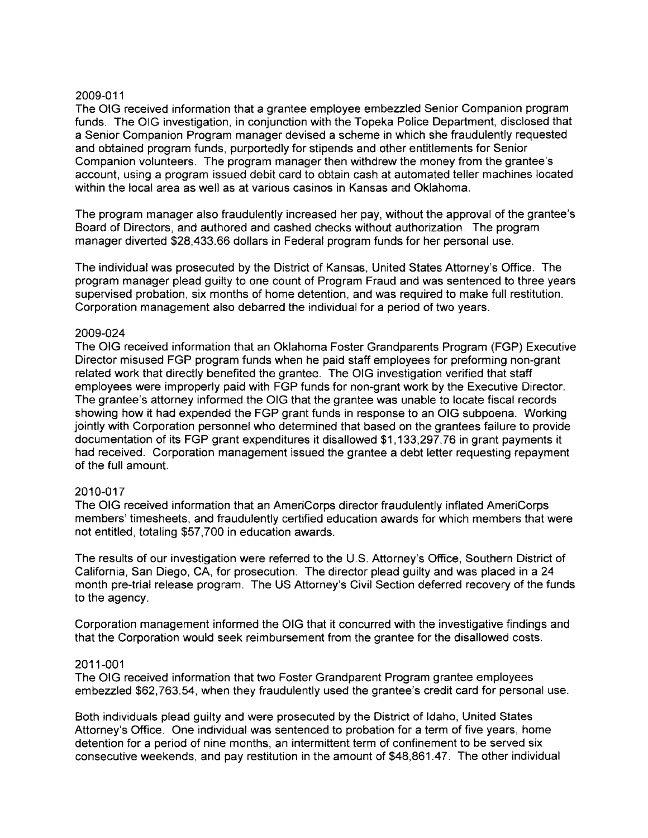The OIG received information that a grantee employee embezzled Senior Companion program funds. The OIG investigation, in conjunction with the Topeka Police Department, disclosed that a Senior Companion Program manager devised a scheme in which she fraudulently requested and obtained program funds, purportedly for stipends and other entitlements for Senior Companion volunteers. The program manager then withdrew the money from the grantee's account, using a program issued debit card to obtain cash at automated teller machines located within the local area as well as at various casinos in Kansas and Oklahoma.

The program manager also fraudulently increased her pay, without the approval of the grantee's Board of Directors, and authored and cashed checks without authorization. The program manager diverted \$28,433.66 dollars in Federal program funds for her personal use.

The individual was prosecuted by the District of Kansas, United States Attorney's Office. The program manager plead guilty to one count of Program Fraud and was sentenced to three years supervised probation, six months of home detention, and was required to make full restitution. Corporation management also debarred the individual for a period of two years.

# 2009-024

The OIG received information that an Oklahoma Foster Grandparents Program (FGP) Executive Director misused FGP program funds when he paid staff employees for preforming non-grant related work that directly benefited the grantee. The OIG investigation verified that staff employees were improperly paid with FGP funds for non-grant work by the Executive Director. The grantee's attorney informed the OIG that the grantee was unable to locate fiscal records showing how it had expended the FGP grant funds in response to an OIG subpoena. Working jointly with Corporation personnel who determined that based on the grantees failure to provide documentation of its FGP grant expenditures it disallowed \$1, 133,297. 76 in grant payments it had received. Corporation management issued the grantee a debt letter requesting repayment of the full amount.

# 2010-017

The OIG received information that an AmeriCorps director fraudulently inflated AmeriCorps members' timesheets, and fraudulently certified education awards for which members that were not entitled, totaling \$57,700 in education awards.

The results of our investigation were referred to the U.S. Attorney's Office, Southern District of California, San Diego, CA, for prosecution. The director plead guilty and was placed in a 24 month pre-trial release program. The US Attorney's Civil Section deferred recovery of the funds to the agency.

Corporation management informed the OIG that it concurred with the investigative findings and that the Corporation would seek reimbursement from the grantee for the disallowed costs.

# 2011-001

The OIG received information that two Foster Grandparent Program grantee employees embezzled \$62,763.54, when they fraudulently used the grantee's credit card for personal use.

Both individuals plead guilty and were prosecuted by the District of Idaho, United States Attorney's Office. One individual was sentenced to probation for a term of five years, home detention for a period of nine months, an intermittent term of confinement to be served six consecutive weekends, and pay restitution in the amount of \$48,861.47. The other individual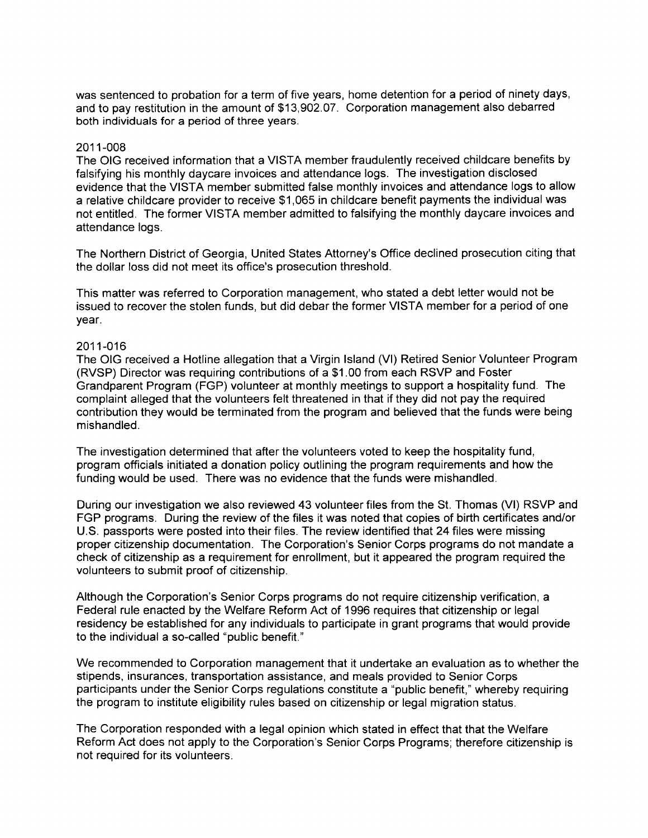was sentenced to probation for a term of five years, home detention for a period of ninety days, and to pay restitution in the amount of \$13,902.07. Corporation management also debarred both individuals for a period of three years.

#### 2011-008

The OIG received information that a VISTA member fraudulently received childcare benefits by falsifying his monthly daycare invoices and attendance logs. The investigation disclosed evidence that the VISTA member submitted false monthly invoices and attendance logs to allow a relative childcare provider to receive \$1,065 in childcare benefit payments the individual was not entitled. The former VISTA member admitted to falsifying the monthly daycare invoices and attendance logs.

The Northern District of Georgia, United States Attorney's Office declined prosecution citing that the dollar loss did not meet its office's prosecution threshold.

This matter was referred to Corporation management, who stated a debt letter would not be issued to recover the stolen funds, but did debar the former VISTA member for a period of one year.

#### 2011-016

The OIG received a Hotline allegation that a Virgin Island (VI) Retired Senior Volunteer Program (RVSP) Director was requiring contributions of a \$1.00 from each RSVP and Foster Grandparent Program (FGP) volunteer at monthly meetings to support a hospitality fund. The complaint alleged that the volunteers felt threatened in that if they did not pay the required contribution they would be terminated from the program and believed that the funds were being mishandled.

The investigation determined that after the volunteers voted to keep the hospitality fund, program officials initiated a donation policy outlining the program requirements and how the funding would be used. There was no evidence that the funds were mishandled.

During our investigation we also reviewed 43 volunteer files from the St. Thomas (VI) RSVP and FGP programs. During the review of the files it was noted that copies of birth certificates and/or U.S. passports were posted into their files. The review identified that 24 files were missing proper citizenship documentation. The Corporation's Senior Corps programs do not mandate a check of citizenship as a requirement for enrollment, but it appeared the program required the volunteers to submit proof of citizenship.

Although the Corporation's Senior Corps programs do not require citizenship verification, a Federal rule enacted by the Welfare Reform Act of 1996 requires that citizenship or legal residency be established for any individuals to participate in grant programs that would provide to the individual a so-called "public benefit."

We recommended to Corporation management that it undertake an evaluation as to whether the stipends, insurances, transportation assistance, and meals provided to Senior Corps participants under the Senior Corps regulations constitute a "public benefit," whereby requiring the program to institute eligibility rules based on citizenship or legal migration status.

The Corporation responded with a legal opinion which stated in effect that that the Welfare Reform Act does not apply to the Corporation's Senior Corps Programs; therefore citizenship is not required for its volunteers.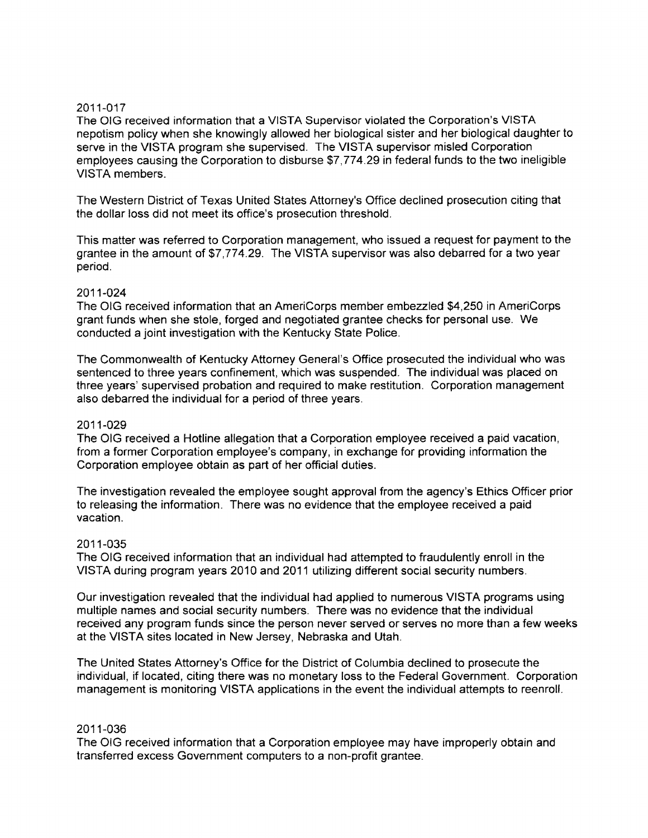The OIG received information that a VISTA Supervisor violated the Corporation's VISTA nepotism policy when she knowingly allowed her biological sister and her biological daughter to serve in the VISTA program she supervised. The VISTA supervisor misled Corporation employees causing the Corporation to disburse \$7,774.29 in federal funds to the two ineligible VISTA members.

The Western District of Texas United States Attorney's Office declined prosecution citing that the dollar loss did not meet its office's prosecution threshold.

This matter was referred to Corporation management, who issued a request for payment to the grantee in the amount of \$7,774.29. The VISTA supervisor was also debarred for a two year period.

## 2011-024

The OIG received information that an AmeriCorps member embezzled \$4,250 in AmeriCorps grant funds when she stole, forged and negotiated grantee checks for personal use. We conducted a joint investigation with the Kentucky State Police.

The Commonwealth of Kentucky Attorney General's Office prosecuted the individual who was sentenced to three years confinement, which was suspended. The individual was placed on three years' supervised probation and required to make restitution. Corporation management also debarred the individual for a period of three years.

## 2011-029

The OIG received a Hotline allegation that a Corporation employee received a paid vacation, from a former Corporation employee's company, in exchange for providing information the Corporation employee obtain as part of her official duties.

The investigation revealed the employee sought approval from the agency's Ethics Officer prior to releasing the information. There was no evidence that the employee received a paid vacation.

# 2011-035

The OIG received information that an individual had attempted to fraudulently enroll in the VISTA during program years 2010 and 2011 utilizing different social security numbers.

Our investigation revealed that the individual had applied to numerous VISTA programs using multiple names and social security numbers. There was no evidence that the individual received any program funds since the person never served or serves no more than a few weeks at the VISTA sites located in New Jersey, Nebraska and Utah.

The United States Attorney's Office for the District of Columbia declined to prosecute the individual, if located, citing there was no monetary loss to the Federal Government. Corporation management is monitoring VISTA applications in the event the individual attempts to reenroll.

#### 2011-036

The OIG received information that a Corporation employee may have improperly obtain and transferred excess Government computers to a non-profit grantee.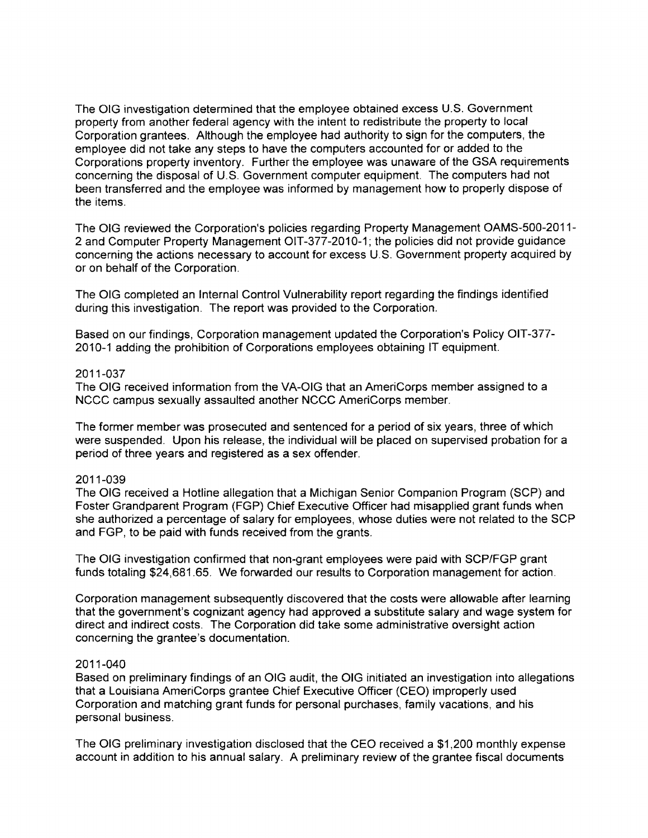The OlG investigation determined that the employee obtained excess U.S. Government property from another federal agency with the intent to redistribute the property to local Corporation grantees. Although the employee had authority to sign for the computers, the employee did not take any steps to have the computers accounted for or added to the Corporations property inventory. Further the employee was unaware of the GSA requirements concerning the disposal of U.S. Government computer equipment. The computers had not been transferred and the employee was informed by management how to properly dispose of the items.

The OIG reviewed the Corporation's policies regarding Property Management OAMS-500-2011- 2 and Computer Property Management OIT-377-2010-1; the policies did not provide guidance concerning the actions necessary to account for excess U.S. Government property acquired by or on behalf of the Corporation.

The OIG completed an Internal Control Vulnerability report regarding the findings identified during this investigation. The report was provided to the Corporation.

Based on our findings, Corporation management updated the Corporation's Policy OlT-377- 2010-1 adding the prohibition of Corporations employees obtaining IT equipment.

#### 2011-037

The OIG received information from the VA-OlG that an AmeriCorps member assigned to a NCCC campus sexually assaulted another NCCC AmeriCorps member.

The former member was prosecuted and sentenced for a period of six years, three of which were suspended. Upon his release, the individual will be placed on supervised probation for a period of three years and registered as a sex offender.

# 2011-039

The OIG received a Hotline allegation that a Michigan Senior Companion Program (SCP) and Foster Grandparent Program (FGP) Chief Executive Officer had misapplied grant funds when she authorized a percentage of salary for employees, whose duties were not related to the SCP and FGP, to be paid with funds received from the grants.

The OIG investigation confirmed that non-grant employees were paid with SCP/FGP grant funds totaling \$24,681.65. We forwarded our results to Corporation management for action.

Corporation management subsequently discovered that the costs were allowable after learning that the government's cognizant agency had approved a substitute salary and wage system for direct and indirect costs. The Corporation did take some administrative oversight action concerning the grantee's documentation.

#### 2011-040

Based on preliminary findings of an OIG audit, the OIG initiated an investigation into allegations that a Louisiana AmeriCorps grantee Chief Executive Officer (CEO) improperly used Corporation and matching grant funds for personal purchases, family vacations, and his personal business.

The OlG preliminary investigation disclosed that the CEO received a \$1,200 monthly expense account in addition to his annual salary. A preliminary review of the grantee fiscal documents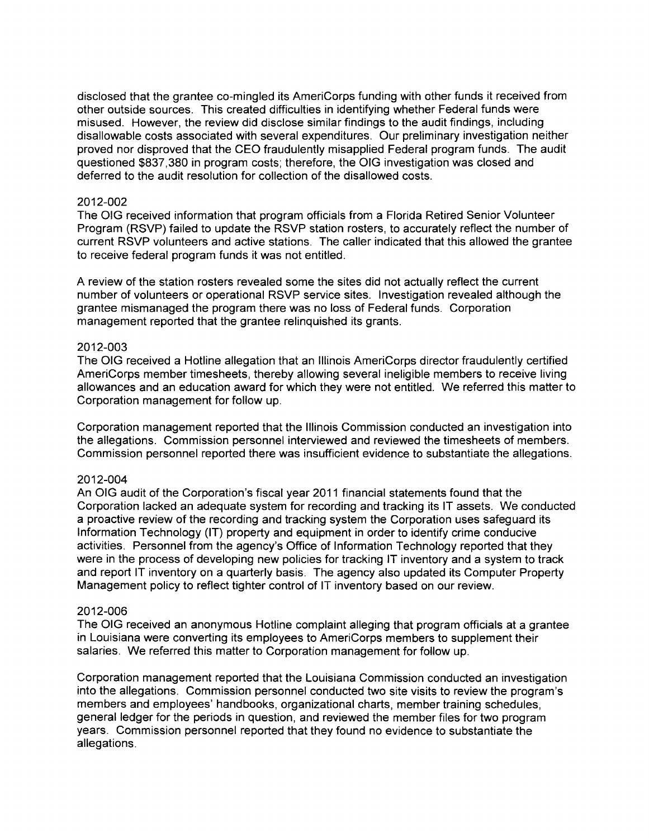disclosed that the grantee co-mingled its AmeriCorps funding with other funds it received from other outside sources. This created difficulties in identifying whether Federal funds were misused. However, the review did disclose similar findings to the audit findings, including disallowable costs associated with several expenditures. Our preliminary investigation neither proved nor disproved that the CEO fraudulently misapplied Federal program funds. The audit questioned \$837,380 in program costs; therefore, the OIG investigation was closed and deferred to the audit resolution for collection of the disallowed costs.

#### 2012-002

The OIG received information that program officials from a Florida Retired Senior Volunteer Program (RSVP) failed to update the RSVP station rosters, to accurately reflect the number of current RSVP volunteers and active stations. The caller indicated that this allowed the grantee to receive federal program funds it was not entitled.

A review of the station rosters revealed some the sites did not actually reflect the current number of volunteers or operational RSVP service sites. Investigation revealed although the grantee mismanaged the program there was no loss of Federal funds. Corporation management reported that the grantee relinquished its grants.

# 2012-003

The OIG received a Hotline allegation that an Illinois AmeriCorps director fraudulently certified AmeriCorps member timesheets, thereby allowing several ineligible members to receive living allowances and an education award for which they were not entitled. We referred this matter to Corporation management for follow up.

Corporation management reported that the Illinois Commission conducted an investigation into the allegations. Commission personnel interviewed and reviewed the timesheets of members. Commission personnel reported there was insufficient evidence to substantiate the allegations.

#### 2012-004

An OIG audit of the Corporation's fiscal year 2011 financial statements found that the Corporation lacked an adequate system for recording and tracking its IT assets. We conducted a proactive review of the recording and tracking system the Corporation uses safeguard its Information Technology (IT) property and equipment in order to identify crime conducive activities. Personnel from the agency's Office of Information Technology reported that they were in the process of developing new policies for tracking IT inventory and a system to track and report IT inventory on a quarterly basis. The agency also updated its Computer Property Management policy to reflect tighter control of IT inventory based on our review.

#### 2012-006

The OIG received an anonymous Hotline complaint alleging that program officials at a grantee in Louisiana were converting its employees to AmeriCorps members to supplement their salaries. We referred this matter to Corporation management for follow up.

Corporation management reported that the Louisiana Commission conducted an investigation into the allegations. Commission personnel conducted two site visits to review the program's members and employees' handbooks, organizational charts, member training schedules, general ledger for the periods in question, and reviewed the member files for two program years. Commission personnel reported that they found no evidence to substantiate the allegations.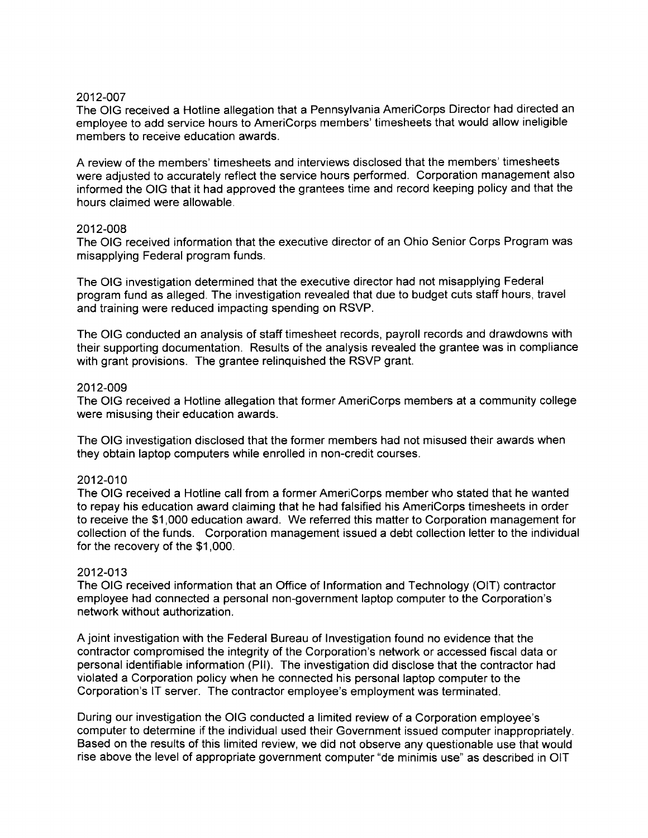The OIG received a Hotline allegation that a Pennsylvania AmeriCorps Director had directed an employee to add service hours to AmeriCorps members' timesheets that would allow ineligible members to receive education awards.

A review of the members' timesheets and interviews disclosed that the members' timesheets were adjusted to accurately reflect the service hours performed. Corporation management also informed the OIG that it had approved the grantees time and record keeping policy and that the hours claimed were allowable.

#### 2012-008

The OIG received information that the executive director of an Ohio Senior Corps Program was misapplying Federal program funds.

The OIG investigation determined that the executive director had not misapplying Federal program fund as alleged. The investigation revealed that due to budget cuts staff hours, travel and training were reduced impacting spending on RSVP.

The OIG conducted an analysis of staff timesheet records, payroll records and drawdowns with their supporting documentation. Results of the analysis revealed the grantee was in compliance with grant provisions. The grantee relinquished the RSVP grant.

#### 2012-009

The OIG received a Hotline allegation that former AmeriCorps members at a community college were misusing their education awards.

The OIG investigation disclosed that the former members had not misused their awards when they obtain laptop computers while enrolled in non-credit courses.

#### 2012-010

The OIG received a Hotline call from a former AmeriCorps member who stated that he wanted to repay his education award claiming that he had falsified his AmeriCorps timesheets in order to receive the \$1,000 education award. We referred this matter to Corporation management for collection of the funds. Corporation management issued a debt collection letter to the individual for the recovery of the \$1,000.

# 2012-013

The OIG received information that an Office of Information and Technology (OIT) contractor employee had connected a personal non-government laptop computer to the Corporation's network without authorization.

A joint investigation with the Federal Bureau of Investigation found no evidence that the contractor compromised the integrity of the Corporation's network or accessed fiscal data or personal identifiable information (Pll). The investigation did disclose that the contractor had violated a Corporation policy when he connected his personal laptop computer to the Corporation's IT server. The contractor employee's employment was terminated.

During our investigation the OIG conducted a limited review of a Corporation employee's computer to determine if the individual used their Government issued computer inappropriately. Based on the results of this limited review, we did not observe any questionable use that would rise above the level of appropriate government computer "de minimis use" as described in OIT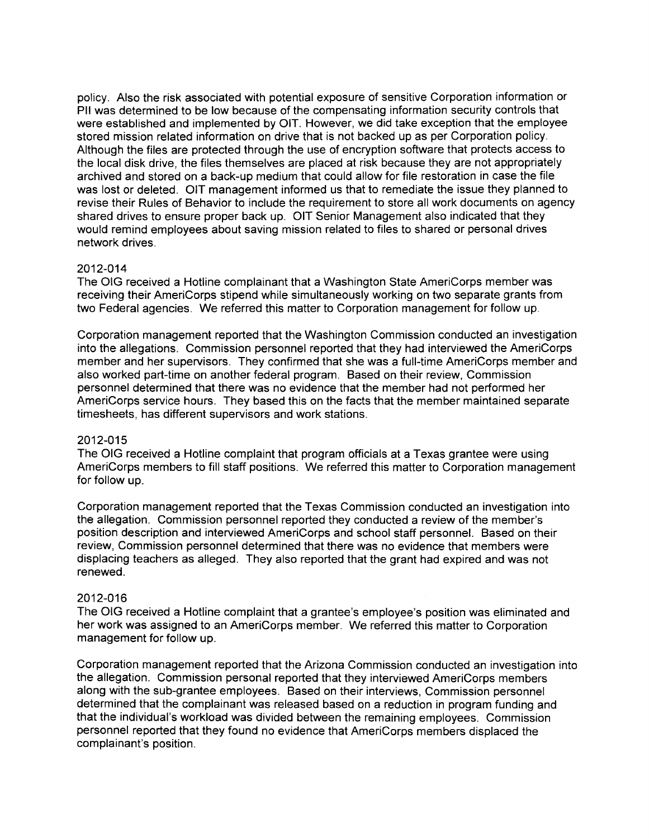policy. Also the risk associated with potential exposure of sensitive Corporation information or Pll was determined to be low because of the compensating information security controls that were established and implemented by OIT. However, we did take exception that the employee stored mission related information on drive that is not backed up as per Corporation policy. Although the files are protected through the use of encryption software that protects access to the local disk drive, the files themselves are placed at risk because they are not appropriately archived and stored on a back-up medium that could allow for file restoration in case the file was lost or deleted. OIT management informed us that to remediate the issue they planned to revise their Rules of Behavior to include the requirement to store all work documents on agency shared drives to ensure proper back up. OIT Senior Management also indicated that they would remind employees about saving mission related to files to shared or personal drives network drives.

# 2012-014

The OIG received a Hotline complainant that a Washington State AmeriCorps member was receiving their AmeriCorps stipend while simultaneously working on two separate grants from two Federal agencies. We referred this matter to Corporation management for follow up.

Corporation management reported that the Washington Commission conducted an investigation into the allegations. Commission personnel reported that they had interviewed the AmeriCorps member and her supervisors. They confirmed that she was a full-time AmeriCorps member and also worked part-time on another federal program. Based on their review, Commission personnel determined that there was no evidence that the member had not performed her AmeriCorps service hours. They based this on the facts that the member maintained separate timesheets, has different supervisors and work stations.

# 2012-015

The OIG received a Hotline complaint that program officials at a Texas grantee were using AmeriCorps members to fill staff positions. We referred this matter to Corporation management for follow up.

Corporation management reported that the Texas Commission conducted an investigation into the allegation. Commission personnel reported they conducted a review of the member's position description and interviewed AmeriCorps and school staff personnel. Based on their review, Commission personnel determined that there was no evidence that members were displacing teachers as alleged. They also reported that the grant had expired and was not renewed.

# 2012-016

The OIG received a Hotline complaint that a grantee's employee's position was eliminated and her work was assigned to an AmeriCorps member. We referred this matter to Corporation management for follow up.

Corporation management reported that the Arizona Commission conducted an investigation into the allegation. Commission personal reported that they interviewed AmeriCorps members along with the sub-grantee employees. Based on their interviews, Commission personnel determined that the complainant was released based on a reduction in program funding and that the individual's workload was divided between the remaining employees. Commission personnel reported that they found no evidence that AmeriCorps members displaced the complainant's position.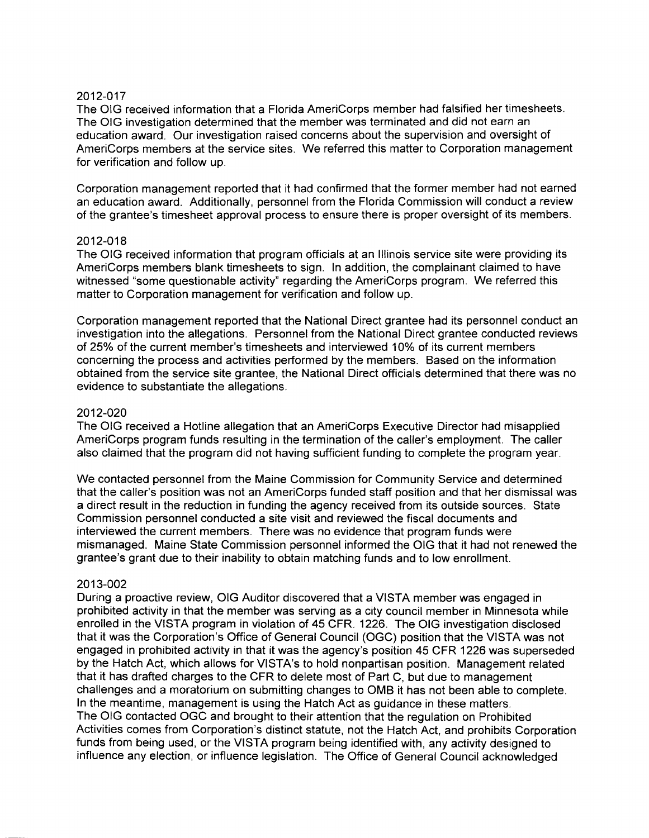The OIG received information that a Florida AmeriCorps member had falsified her timesheets. The OIG investigation determined that the member was terminated and did not earn an education award. Our investigation raised concerns about the supervision and oversight of AmeriCorps members at the service sites. We referred this matter to Corporation management for verification and follow up.

Corporation management reported that it had confirmed that the former member had not earned an education award. Additionally, personnel from the Florida Commission will conduct a review of the grantee's timesheet approval process to ensure there is proper oversight of its members.

# 2012-018

The OIG received information that program officials at an Illinois service site were providing its AmeriCorps members blank timesheets to sign. In addition, the complainant claimed to have witnessed "some questionable activity" regarding the AmeriCorps program. We referred this matter to Corporation management for verification and follow up.

Corporation management reported that the National Direct grantee had its personnel conduct an investigation into the allegations. Personnel from the National Direct grantee conducted reviews of 25% of the current member's timesheets and interviewed 10% of its current members concerning the process and activities performed by the members. Based on the information obtained from the service site grantee, the National Direct officials determined that there was no evidence to substantiate the allegations.

# 2012-020

The OIG received a Hotline allegation that an AmeriCorps Executive Director had misapplied AmeriCorps program funds resulting in the termination of the caller's employment. The caller also claimed that the program did not having sufficient funding to complete the program year.

We contacted personnel from the Maine Commission for Community Service and determined that the caller's position was not an AmeriCorps funded staff position and that her dismissal was a direct result in the reduction in funding the agency received from its outside sources. State Commission personnel conducted a site visit and reviewed the fiscal documents and interviewed the current members. There was no evidence that program funds were mismanaged. Maine State Commission personnel informed the OIG that it had not renewed the grantee's grant due to their inability to obtain matching funds and to low enrollment.

# 2013-002

During a proactive review, OIG Auditor discovered that a VISTA member was engaged in prohibited activity in that the member was serving as a city council member in Minnesota while enrolled in the VISTA program in violation of 45 CFR. 1226. The OIG investigation disclosed that it was the Corporation's Office of General Council (OGC) position that the VISTA was not engaged in prohibited activity in that it was the agency's position 45 CFR 1226 was superseded by the Hatch Act, which allows for VISTA's to hold nonpartisan position. Management related that it has drafted charges to the CFR to delete most of Part C, but due to management challenges and a moratorium on submitting changes to OMB it has not been able to complete. In the meantime, management is using the Hatch Act as guidance in these matters. The OIG contacted OGC and brought to their attention that the regulation on Prohibited Activities comes from Corporation's distinct statute, not the Hatch Act, and prohibits Corporation funds from being used, or the VISTA program being identified with, any activity designed to influence any election, or influence legislation. The Office of General Council acknowledged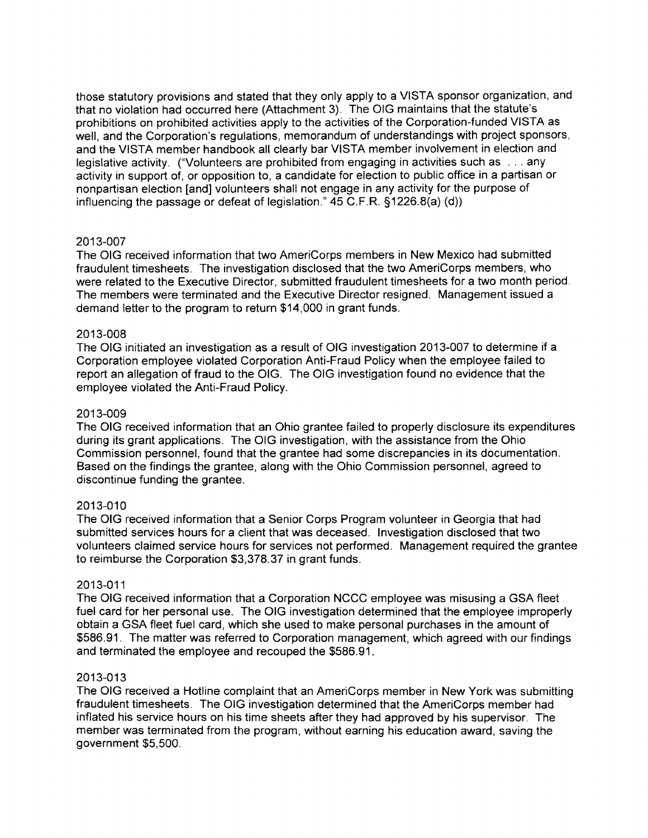those statutory provisions and stated that they only apply to a VISTA sponsor organization, and that no violation had occurred here (Attachment 3). The OIG maintains that the statute's prohibitions on prohibited activities apply to the activities of the Corporation-funded VISTA as well, and the Corporation's regulations, memorandum of understandings with project sponsors, and the VISTA member handbook all clearly bar VISTA member involvement in election and legislative activity. ("Volunteers are prohibited from engaging in activities such as ... any activity in support of, or opposition to, a candidate for election to public office in a partisan or nonpartisan election [and] volunteers shall not engage in any activity for the purpose of influencing the passage or defeat of legislation." 45 C.F.R. §1226.8(a) (d))

# 2013-007

The OIG received information that two AmeriCorps members in New Mexico had submitted fraudulent timesheets. The investigation disclosed that the two AmeriCorps members, who were related to the Executive Director, submitted fraudulent timesheets for a two month period. The members were terminated and the Executive Director resigned. Management issued a demand letter to the program to return \$14,000 in grant funds.

# 2013-008

The OIG initiated an investigation as a result of OIG investigation 2013-007 to determine if a Corporation employee violated Corporation Anti-Fraud Policy when the employee failed to report an allegation of fraud to the OIG. The OIG investigation found no evidence that the employee violated the Anti-Fraud Policy.

# 2013-009

The OIG received information that an Ohio grantee failed to properly disclosure its expenditures during its grant applications. The OIG investigation, with the assistance from the Ohio Commission personnel, found that the grantee had some discrepancies in its documentation. Based on the findings the grantee, along with the Ohio Commission personnel, agreed to discontinue funding the grantee.

# 2013-010

The OIG received information that a Senior Corps Program volunteer in Georgia that had submitted services hours for a client that was deceased. Investigation disclosed that two volunteers claimed service hours for services not performed. Management required the grantee to reimburse the Corporation \$3,378.37 in grant funds.

# 2013-011

The OIG received information that a Corporation NCCC employee was misusing a GSA fleet fuel card for her personal use. The OIG investigation determined that the employee improperly obtain a GSA fleet fuel card, which she used to make personal purchases in the amount of \$586.91. The matter was referred to Corporation management, which agreed with our findings and terminated the employee and recouped the \$586.91.

# 2013-013

The OIG received a Hotline complaint that an AmeriCorps member in New York was submitting fraudulent timesheets. The OIG investigation determined that the AmeriCorps member had inflated his service hours on his time sheets after they had approved by his supervisor. The member was terminated from the program, without earning his education award, saving the government \$5,500.